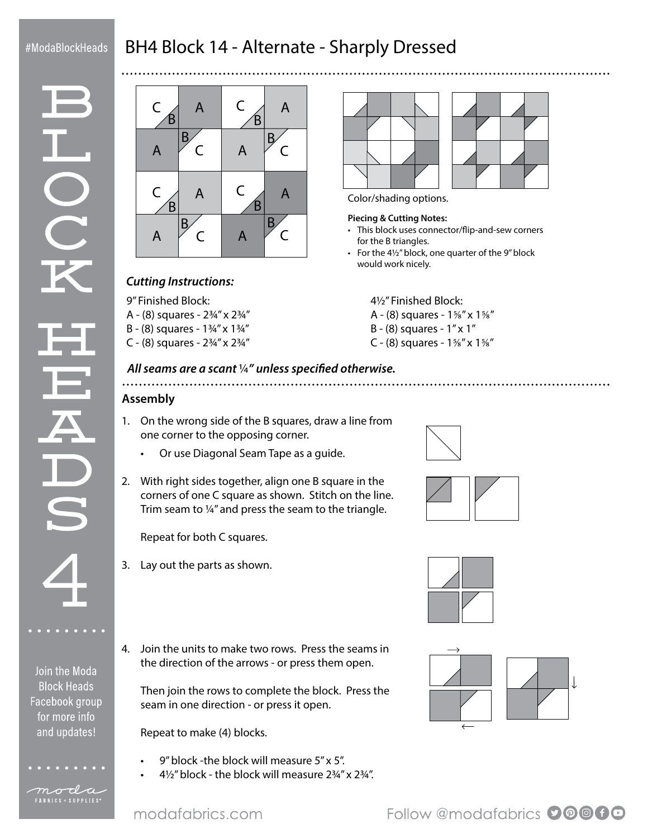### #ModaBlockHeads

# BH4 Block 14 - Alternate - Sharply Dressed

Join the Moda **Block Heads** Facebook group for more info and updates!

moda FABRICS + SUPPLIES<sup>®</sup>



## *Cutting Instructions:*

9" Finished Block: A - (8) squares - 2¾" x 2¾" B - (8) squares - 1¾" x 1¾"

C - (8) squares - 2¾" x 2¾"





Color/shading options.

#### **Piecing & Cutting Notes:**

- This block uses connector/flip-and-sew corners for the B triangles.
- For the 4½" block, one quarter of the 9" block would work nicely.

4½" Finished Block:

- A (8) squares 1⅝" x 1⅝"
- B (8) squares 1" x 1"
- C (8) squares 1⅝" x 1⅝"

#### *All seams are a scant* ¼*" unless specified otherwise.* ................................... **Assembly**

- 1. On the wrong side of the B squares, draw a line from one corner to the opposing corner.
	- Or use Diagonal Seam Tape as a guide.
- 2. With right sides together, align one B square in the corners of one C square as shown. Stitch on the line. Trim seam to ¼" and press the seam to the triangle.

Repeat for both C squares.

- 3. Lay out the parts as shown.
- 4. Join the units to make two rows. Press the seams in the direction of the arrows - or press them open.

Then join the rows to complete the block. Press the seam in one direction - or press it open.

Repeat to make (4) blocks.

- 9" block -the block will measure 5" x 5".
- 4½" block the block will measure 2¾" x 2¾".